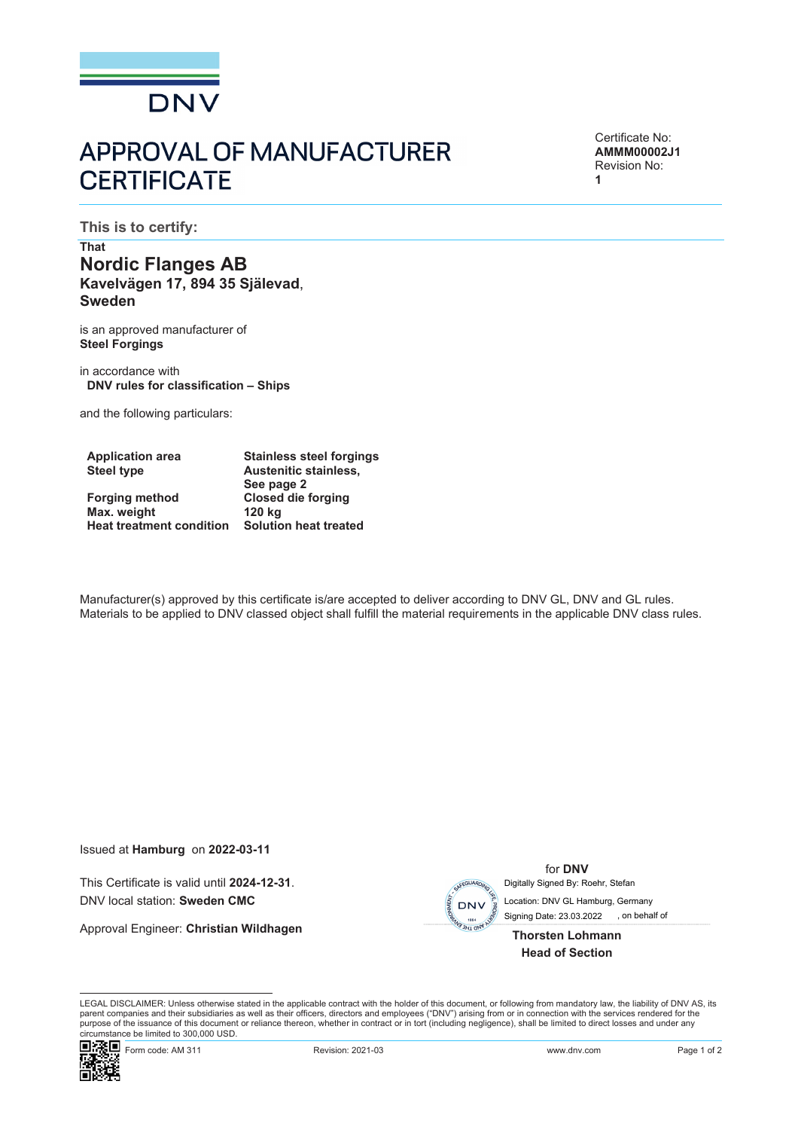

## **APPROVAL OF MANUFACTURER CERTIFICATE**

Certificate No: **AMMM00002J1** Revision No: **1**

**This is to certify:**

## **That Nordic Flanges AB Kavelvägen 17, 894 35 Själevad**, **Sweden**

is an approved manufacturer of **Steel Forgings**

in accordance with **DNV rules for classification – Ships**

and the following particulars:

| <b>Application area</b>         | <b>Stainless steel forgings</b> |  |
|---------------------------------|---------------------------------|--|
| <b>Steel type</b>               | <b>Austenitic stainless,</b>    |  |
|                                 | See page 2                      |  |
| <b>Forging method</b>           | <b>Closed die forging</b>       |  |
| Max. weight                     | 120 kg                          |  |
| <b>Heat treatment condition</b> | <b>Solution heat treated</b>    |  |

Manufacturer(s) approved by this certificate is/are accepted to deliver according to DNV GL, DNV and GL rules. Materials to be applied to DNV classed object shall fulfill the material requirements in the applicable DNV class rules.

Issued at **Hamburg** on **2022-03-11**

This Certificate is valid until **2024-12-31**. DNV local station: **Sweden CMC**

Approval Engineer: **Christian Wildhagen**



for **DNV** Digitally Signed By: Roehr, Stefan

Signing Date: 23.03.2022 , on behalf of Location: DNV GL Hamburg, Germany

**Thorsten Lohmann Head of Section**

LEGAL DISCLAIMER: Unless otherwise stated in the applicable contract with the holder of this document, or following from mandatory law, the liability of DNV AS, its parent companies and their subsidiaries as well as their officers, directors and employees ("DNV") arising from or in connection with the services rendered for the purpose of the issuance of this document or reliance thereon, whether in contract or in tort (including negligence), shall be limited to direct losses and under any circumstance be limited to 300,000 USD.